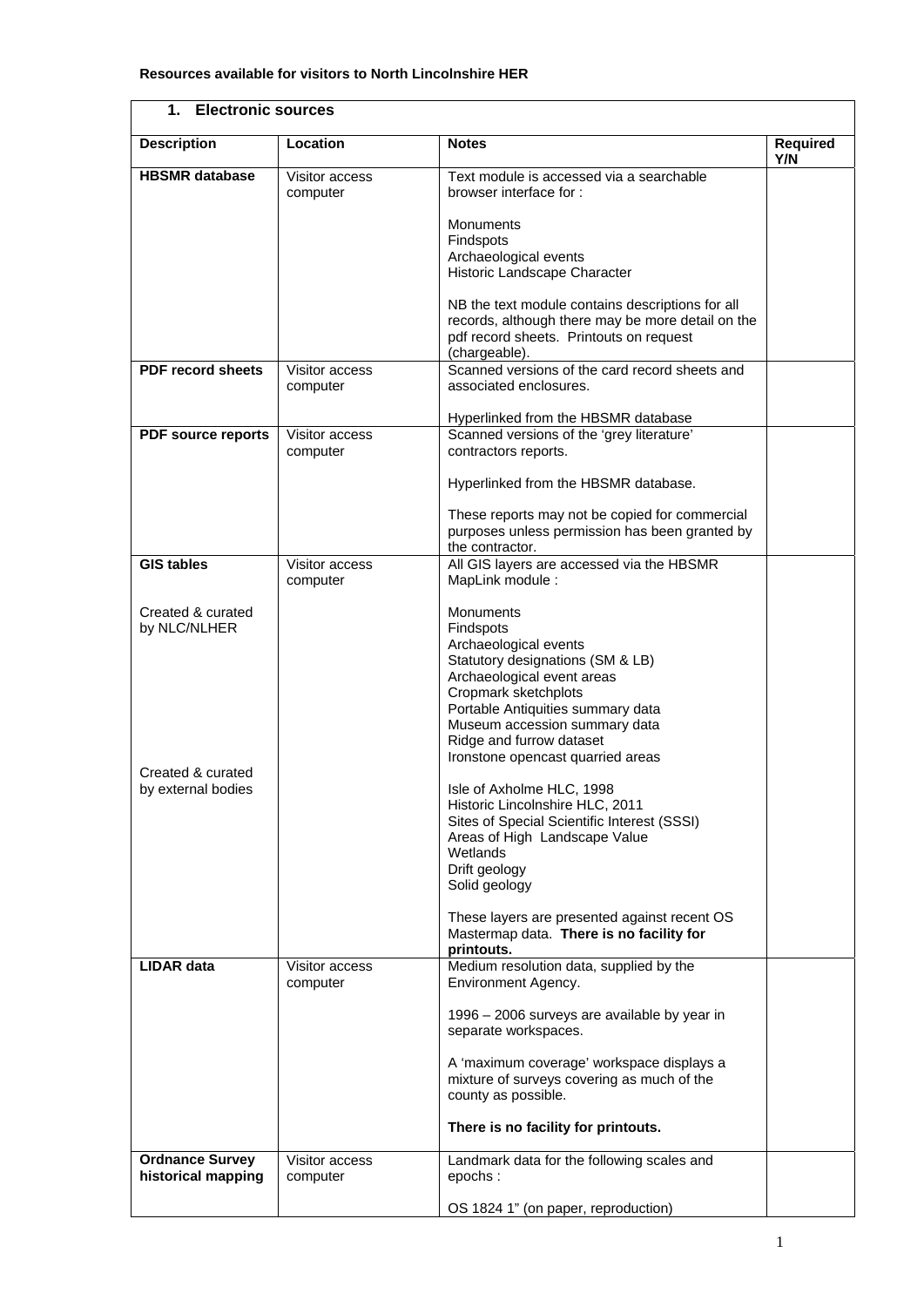| 1. Electronic sources                        |                            |                                                                                                                                                  |                        |  |  |
|----------------------------------------------|----------------------------|--------------------------------------------------------------------------------------------------------------------------------------------------|------------------------|--|--|
| <b>Description</b>                           | Location                   | <b>Notes</b>                                                                                                                                     | <b>Required</b><br>Y/N |  |  |
| <b>HBSMR</b> database                        | Visitor access<br>computer | Text module is accessed via a searchable<br>browser interface for:                                                                               |                        |  |  |
|                                              |                            | Monuments<br>Findspots                                                                                                                           |                        |  |  |
|                                              |                            | Archaeological events<br>Historic Landscape Character                                                                                            |                        |  |  |
|                                              |                            | NB the text module contains descriptions for all<br>records, although there may be more detail on the<br>pdf record sheets. Printouts on request |                        |  |  |
| <b>PDF record sheets</b>                     | Visitor access             | (chargeable).<br>Scanned versions of the card record sheets and                                                                                  |                        |  |  |
|                                              | computer                   | associated enclosures.                                                                                                                           |                        |  |  |
|                                              |                            | Hyperlinked from the HBSMR database                                                                                                              |                        |  |  |
| <b>PDF</b> source reports                    | Visitor access<br>computer | Scanned versions of the 'grey literature'<br>contractors reports.                                                                                |                        |  |  |
|                                              |                            | Hyperlinked from the HBSMR database.                                                                                                             |                        |  |  |
|                                              |                            | These reports may not be copied for commercial<br>purposes unless permission has been granted by<br>the contractor.                              |                        |  |  |
| <b>GIS tables</b>                            | Visitor access<br>computer | All GIS layers are accessed via the HBSMR<br>MapLink module:                                                                                     |                        |  |  |
| Created & curated<br>by NLC/NLHER            |                            | Monuments<br>Findspots                                                                                                                           |                        |  |  |
|                                              |                            | Archaeological events<br>Statutory designations (SM & LB)<br>Archaeological event areas<br>Cropmark sketchplots                                  |                        |  |  |
|                                              |                            | Portable Antiquities summary data<br>Museum accession summary data<br>Ridge and furrow dataset<br>Ironstone opencast quarried areas              |                        |  |  |
| Created & curated<br>by external bodies      |                            | Isle of Axholme HLC, 1998<br>Historic Lincolnshire HLC, 2011<br>Sites of Special Scientific Interest (SSSI)                                      |                        |  |  |
|                                              |                            | Areas of High Landscape Value<br>Wetlands<br>Drift geology<br>Solid geology                                                                      |                        |  |  |
|                                              |                            | These layers are presented against recent OS<br>Mastermap data. There is no facility for<br>printouts.                                           |                        |  |  |
| <b>LIDAR data</b>                            | Visitor access<br>computer | Medium resolution data, supplied by the<br>Environment Agency.                                                                                   |                        |  |  |
|                                              |                            | 1996 - 2006 surveys are available by year in<br>separate workspaces.                                                                             |                        |  |  |
|                                              |                            | A 'maximum coverage' workspace displays a<br>mixture of surveys covering as much of the<br>county as possible.                                   |                        |  |  |
|                                              |                            | There is no facility for printouts.                                                                                                              |                        |  |  |
| <b>Ordnance Survey</b><br>historical mapping | Visitor access<br>computer | Landmark data for the following scales and<br>epochs:                                                                                            |                        |  |  |
|                                              |                            | OS 1824 1" (on paper, reproduction)                                                                                                              |                        |  |  |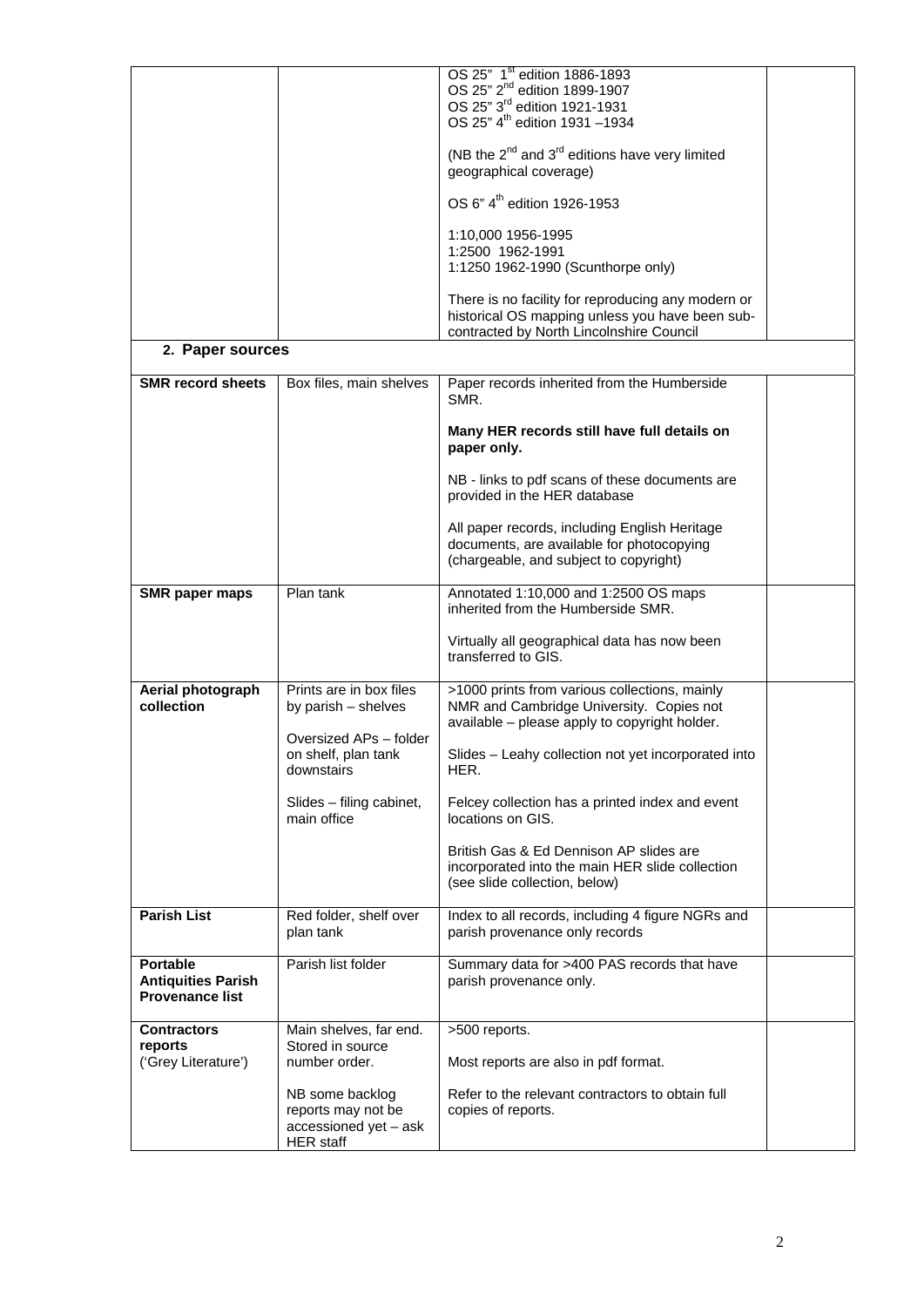|                           |                                           | OS 25" 1 <sup>st</sup> edition 1886-1893                                                    |  |
|---------------------------|-------------------------------------------|---------------------------------------------------------------------------------------------|--|
|                           |                                           | OS 25" 2 <sup>nd</sup> edition 1899-1907<br>OS 25" 3 <sup>rd</sup> edition 1921-1931        |  |
|                           |                                           | OS 25" 4 <sup>th</sup> edition 1931 -1934                                                   |  |
|                           |                                           |                                                                                             |  |
|                           |                                           | (NB the $2^{nd}$ and $3^{rd}$ editions have very limited<br>geographical coverage)          |  |
|                           |                                           | OS 6" 4 <sup>th</sup> edition 1926-1953                                                     |  |
|                           |                                           | 1:10,000 1956-1995                                                                          |  |
|                           |                                           | 1:2500 1962-1991<br>1:1250 1962-1990 (Scunthorpe only)                                      |  |
|                           |                                           | There is no facility for reproducing any modern or                                          |  |
|                           |                                           | historical OS mapping unless you have been sub-<br>contracted by North Lincolnshire Council |  |
| 2. Paper sources          |                                           |                                                                                             |  |
| <b>SMR</b> record sheets  | Box files, main shelves                   | Paper records inherited from the Humberside<br>SMR.                                         |  |
|                           |                                           | Many HER records still have full details on<br>paper only.                                  |  |
|                           |                                           | NB - links to pdf scans of these documents are<br>provided in the HER database              |  |
|                           |                                           | All paper records, including English Heritage                                               |  |
|                           |                                           | documents, are available for photocopying                                                   |  |
|                           |                                           | (chargeable, and subject to copyright)                                                      |  |
| SMR paper maps            | Plan tank                                 | Annotated 1:10,000 and 1:2500 OS maps<br>inherited from the Humberside SMR.                 |  |
|                           |                                           | Virtually all geographical data has now been<br>transferred to GIS.                         |  |
| Aerial photograph         | Prints are in box files                   | >1000 prints from various collections, mainly                                               |  |
| collection                | by parish - shelves                       | NMR and Cambridge University. Copies not                                                    |  |
|                           | Oversized APs - folder                    | available - please apply to copyright holder.                                               |  |
|                           | on shelf, plan tank<br>downstairs         | Slides - Leahy collection not yet incorporated into<br>HER.                                 |  |
|                           | Slides - filing cabinet,                  | Felcey collection has a printed index and event                                             |  |
|                           | main office                               | locations on GIS.                                                                           |  |
|                           |                                           | British Gas & Ed Dennison AP slides are                                                     |  |
|                           |                                           | incorporated into the main HER slide collection<br>(see slide collection, below)            |  |
|                           |                                           |                                                                                             |  |
| <b>Parish List</b>        | Red folder, shelf over                    | Index to all records, including 4 figure NGRs and                                           |  |
|                           | plan tank                                 | parish provenance only records                                                              |  |
| <b>Portable</b>           | Parish list folder                        | Summary data for >400 PAS records that have                                                 |  |
| <b>Antiquities Parish</b> |                                           | parish provenance only.                                                                     |  |
| <b>Provenance list</b>    |                                           |                                                                                             |  |
| <b>Contractors</b>        | Main shelves, far end.                    | >500 reports.                                                                               |  |
| reports                   | Stored in source                          |                                                                                             |  |
| ('Grey Literature')       | number order.                             | Most reports are also in pdf format.                                                        |  |
|                           | NB some backlog                           | Refer to the relevant contractors to obtain full                                            |  |
|                           | reports may not be                        | copies of reports.                                                                          |  |
|                           | accessioned yet - ask<br><b>HER</b> staff |                                                                                             |  |
|                           |                                           |                                                                                             |  |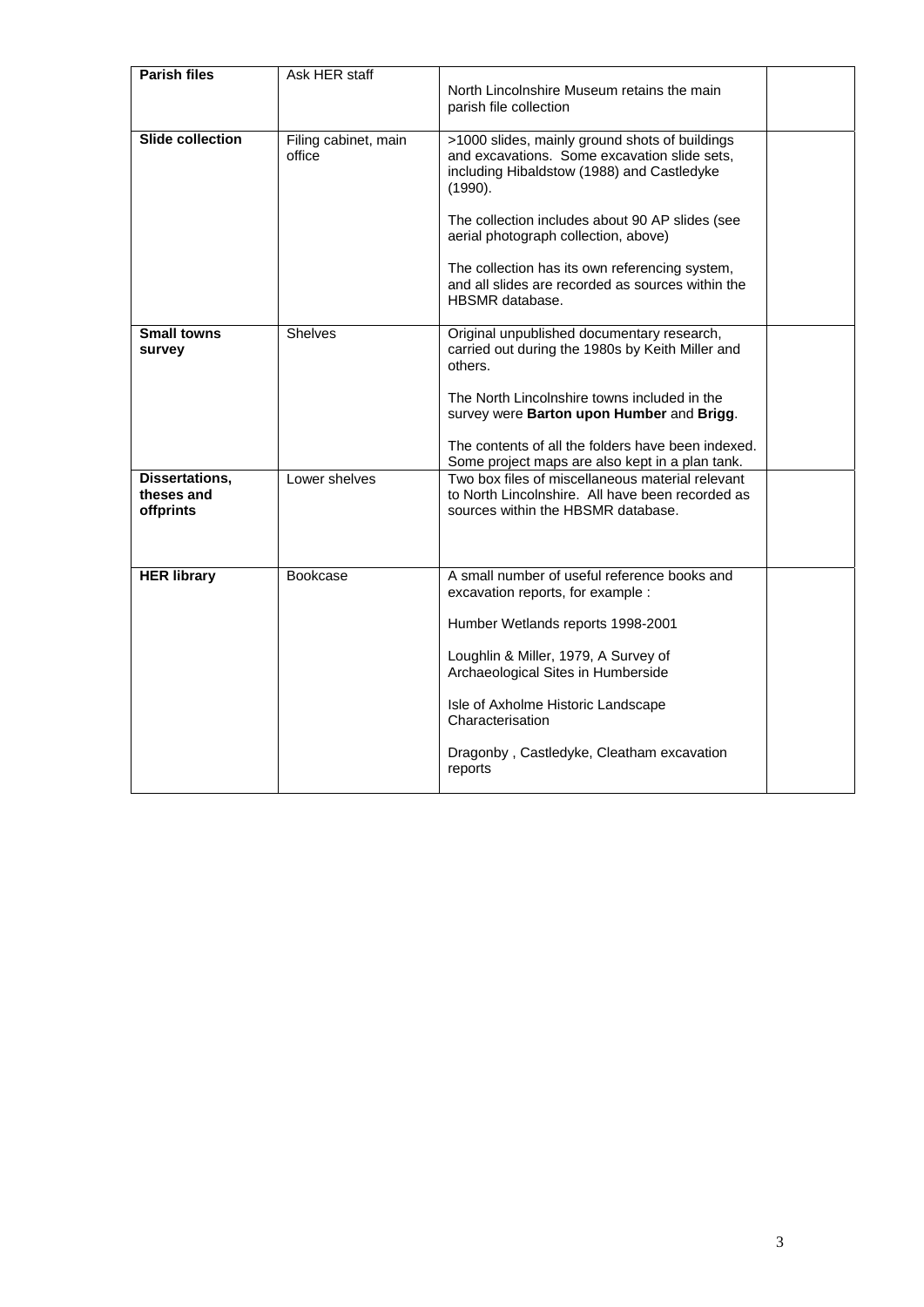| <b>Parish files</b>                       | Ask HER staff                  | North Lincolnshire Museum retains the main<br>parish file collection                                                                                                                                                                                                                                                                                                         |  |
|-------------------------------------------|--------------------------------|------------------------------------------------------------------------------------------------------------------------------------------------------------------------------------------------------------------------------------------------------------------------------------------------------------------------------------------------------------------------------|--|
| <b>Slide collection</b>                   | Filing cabinet, main<br>office | >1000 slides, mainly ground shots of buildings<br>and excavations. Some excavation slide sets,<br>including Hibaldstow (1988) and Castledyke<br>(1990).<br>The collection includes about 90 AP slides (see<br>aerial photograph collection, above)<br>The collection has its own referencing system,<br>and all slides are recorded as sources within the<br>HBSMR database. |  |
|                                           |                                |                                                                                                                                                                                                                                                                                                                                                                              |  |
| <b>Small towns</b><br>survey              | <b>Shelves</b>                 | Original unpublished documentary research,<br>carried out during the 1980s by Keith Miller and<br>others.<br>The North Lincolnshire towns included in the                                                                                                                                                                                                                    |  |
|                                           |                                | survey were Barton upon Humber and Brigg.<br>The contents of all the folders have been indexed.<br>Some project maps are also kept in a plan tank.                                                                                                                                                                                                                           |  |
| Dissertations,<br>theses and<br>offprints | Lower shelves                  | Two box files of miscellaneous material relevant<br>to North Lincolnshire. All have been recorded as<br>sources within the HBSMR database.                                                                                                                                                                                                                                   |  |
| <b>HER library</b>                        | <b>Bookcase</b>                | A small number of useful reference books and<br>excavation reports, for example :<br>Humber Wetlands reports 1998-2001<br>Loughlin & Miller, 1979, A Survey of<br>Archaeological Sites in Humberside<br>Isle of Axholme Historic Landscape<br>Characterisation<br>Dragonby, Castledyke, Cleatham excavation<br>reports                                                       |  |